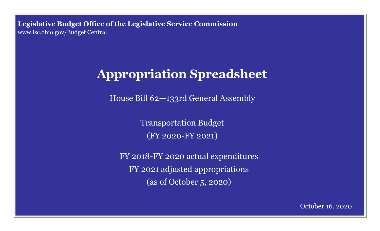**Legislative Budget Office of the Legislative Service Commission**  [www.lsc.ohio.gov/Budget Central](http://www.lsc.ohio.gov)

# **Appropriation Spreadsheet**

House Bill 62—133rd General Assembly

Transportation Budget (FY 2020-FY 2021)

FY 2018-FY 2020 actual expenditures FY 2021 adjusted appropriations (as of October 5, 2020)

October 16, 2020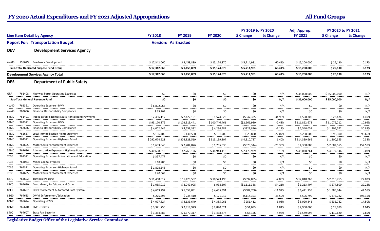|                                   |        |                                                                        |                                          |                            | FY 2019 to FY 2020                |                             | Adj. Approp.                | FY 2020 to FY 2021 |                |                 |
|-----------------------------------|--------|------------------------------------------------------------------------|------------------------------------------|----------------------------|-----------------------------------|-----------------------------|-----------------------------|--------------------|----------------|-----------------|
| <b>Line Item Detail by Agency</b> |        | <b>FY 2018</b>                                                         | <b>FY 2019</b>                           | <b>FY 2020</b>             | \$ Change                         | % Change                    | <b>FY 2021</b>              | \$ Change          | % Change       |                 |
|                                   |        | <b>Report For: Transportation Budget</b>                               |                                          | <b>Version: As Enacted</b> |                                   |                             |                             |                    |                |                 |
| <b>DEV</b>                        |        | <b>Development Services Agency</b>                                     |                                          |                            |                                   |                             |                             |                    |                |                 |
| 4W00                              | 195629 | Roadwork Development                                                   | \$17,342,060                             | \$9,459,889                | \$15,174,870                      | \$5,714,981                 | 60.41%                      | \$15,200,000       | \$25,130       | 0.17%<br>------ |
|                                   |        | Sub-Total Dedicated Purpose Fund Group                                 | \$17,342,060                             | \$9,459,889                | \$15,174,870                      | \$5,714,981                 | 60.41%                      | \$15,200,000       | \$25,130       | 0.17%           |
|                                   |        | <b>Development Services Agency Total</b>                               | \$17,342,060                             | \$9,459,889                | \$15,174,870                      | \$5,714,981                 | 60.41%                      | \$15,200,000       | \$25,130       | 0.17%           |
| <b>DPS</b>                        |        | <b>Department of Public Safety</b>                                     |                                          |                            |                                   |                             |                             |                    |                |                 |
| GRF                               | 761408 | <b>Highway Patrol Operating Expenses</b>                               | \$0                                      | \$0                        | \$0                               | \$0                         | N/A                         | \$35,000,000       | \$35,000,000   | N/A             |
|                                   |        | Sub-Total General Revenue Fund                                         | \$0                                      | \$0                        | \$0                               | \$0                         | N/A                         | \$35,000,000       | \$35,000,000   | N/A             |
| 4W40                              | 762321 | <b>Operating Expense - BMV</b>                                         | \$6,892,968                              | \$0                        | \$0                               | \$0                         | N/A<br>------               | \$0                | \$0            | N/A<br>         |
| 4W40                              | 762636 | <b>Financial Responsibility Compliance</b>                             | \$65,202<br>                             | \$0<br>                    | \$0                               | \$0<br>-------------------- | N/A                         | \$0                | \$0<br>.       | N/A<br>         |
| 5TM0                              |        | 761401 Public Safety Facilities Lease Rental Bond Payments             | \$2,436,117                              | \$2,422,151                | \$1,574,826                       | (\$847,325)                 | -34.98%                     | \$1,598,300        | \$23,474       | 1.49%           |
| 5TM0                              |        | 762321 Operating Expense - BMV                                         | \$93,170,872<br>------------------------ | \$103,313,441              | \$100,746,461                     | ( \$2,566,980)              | $-2.48%$<br>.               | \$111,822,673      | \$11,076,212   | 10.99%<br>      |
| 5TM0                              |        | 762636 Financial Responsibility Compliance                             | \$4,002,545<br>-------------             | \$4,558,382<br>.           | \$4,234,487                       | (5323,896)<br>.             | $-7.11%$<br>.               | \$5,540,059        | \$1,305,572    | 30.83%<br>.     |
| 5TM <sub>0</sub>                  | 762637 | Local Immobilization Reimbursement                                     | \$106,409<br>                            | \$130,500<br>              | \$101,700<br>                     | (528,800)<br>               | $-22.07%$<br>-------------- | \$200,000<br>      | \$98,300<br>.  | 96.66%<br>.     |
| 5TM <sub>0</sub>                  | 764321 | Operating Expense - Highway Patrol                                     | \$292,674,521                            | \$308,828,519              | \$313,139,307                     | \$4,310,787                 | 1.40%                       | \$314,339,662      | \$1,200,355    | 0.38%<br>.      |
| 5TM <sub>0</sub>                  |        | 764605 Motor Carrier Enforcement Expenses                              | \$1,693,043                              | \$2,284,876                | \$1,705,533                       | (5579, 344)                 | $-25.36%$                   | \$4,308,088        | \$2,602,555    | 152.59%<br>     |
| 5TM0                              |        | 769636 Administrative Expenses - Highway Purposes                      | \$40,698,816<br>---------------------    | \$42,763,126               | \$44,943,115                      | \$2,179,989                 | 5.10%                       | \$49,020,261       | \$4,077,146    | 9.07%<br>.      |
| 7036<br>                          |        | 761321 Operating Expense - Information and Education                   | \$357,477                                | \$0<br>                    | \$0                               | \$0                         | N/A                         | \$0                | \$0            | N/A<br>-------  |
| 7036<br>-------                   | 764033 | <b>Minor Capital Projects</b>                                          | \$18,205<br>                             | \$0<br>                    | \$0                               | \$0                         | N/A                         | \$0                | \$0            | N/A<br>.        |
| 7036                              | 764321 | Operating Expense - Highway Patrol                                     | \$1,898,548                              | \$0                        | \$0                               | \$0                         | N/A                         | \$0                | \$0            | N/A             |
| 7036<br>---------                 |        | 764605 Motor Carrier Enforcement Expenses                              | \$40,063<br>                             | \$0<br>--------------      | \$0<br>.                          | \$0<br>.                    | N/A<br>.                    | \$0<br>            | \$0<br>        | N/A<br>         |
| 8370                              |        | 764602 Turnpike Policing                                               | \$11,468,017                             | \$11,420,552               | \$10,523,498                      | ( \$897,055)                | $-7.85%$                    | \$12,840,263       | \$2,316,765    | 22.02%<br>.     |
| 83C0<br>                          |        | 764630 Contraband, Forfeiture, and Other                               | \$1,055,012                              | \$2,049,995                | \$938,607                         | (51, 111, 388)              | $-54.21%$                   | \$1,213,407        | \$274,800<br>. | 29.28%<br>      |
| 83F0                              |        | 764657 Law Enforcement Automated Data System                           | \$4,663,292                              | \$5,058,091                | \$4,455,391<br>. <b>.</b> .       | (5602,700)<br>.             | $-11.92%$<br>.              | \$6,441,735<br>    | \$1,986,344    | 44.58%<br>      |
| 83G0                              | 764633 | <b>OMVI Enforcement/Education</b>                                      | \$275,595                                | \$235,410<br>------------- | \$121,017<br>------------         | (5114, 393)<br>-----------  | $-48.59%$<br>               | \$596,799          | \$475,782      | 393.15%<br>.    |
| 83M0                              | 765624 | <b>Operating - EMS</b>                                                 | \$4,097,824<br>                          | \$4,133,649<br>            | \$4,385,061<br>------------------ | \$251,412<br>-------------- | 6.08%<br>.                  | \$5,020,843<br>    | \$635,782<br>. | 14.50%<br>.     |
| 83M0                              | 765640 | EMS - Grants                                                           | \$3,321,750                              | \$2,818,929                | \$2,870,021                       | \$51,093                    | 1.81%                       | \$2,900,000        | \$29,979       | 1.04%<br>.      |
| 8400                              |        | 764607 State Fair Security                                             | \$1,354,787                              | \$1,370,317                | \$1,438,474                       | \$68,156                    | 4.97%                       | \$1,549,094        | \$110,620      | 7.69%           |
|                                   |        | <b>Legislative Budget Office of the Legislative Service Commission</b> |                                          |                            |                                   |                             |                             |                    |                | $\blacksquare$  |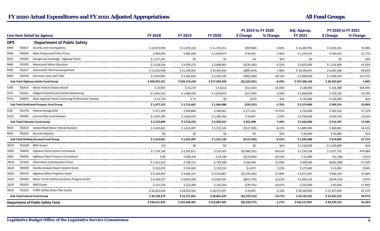|                                        |                                                              |                |                              |                 | FY 2019 to FY 2020 |                         | Adj. Approp.     | FY 2020 to FY 2021 |                |
|----------------------------------------|--------------------------------------------------------------|----------------|------------------------------|-----------------|--------------------|-------------------------|------------------|--------------------|----------------|
| <b>Line Item Detail by Agency</b>      |                                                              | <b>FY 2018</b> | <b>FY 2019</b>               | <b>FY 2020</b>  | \$ Change          | % Change                | <b>FY 2021</b>   | \$ Change          | % Change       |
| <b>DPS</b>                             | <b>Department of Public Safety</b>                           |                |                              |                 |                    |                         |                  |                    |                |
| 764617<br>8400                         | Security and Investigations                                  | \$10,873,994   | \$11,470,319                 | \$11,376,351    | (593,968)          | $-0.82%$                | \$15,469,782     | \$4,093,431        | 35.98%         |
| 764626<br>8400                         | State Fairgrounds Police Force                               | \$990.056<br>. | \$981.048<br>--------------- | \$1,039,473<br> | \$58,425<br>.      | 5.96%<br>               | \$1.276.143<br>. | \$236.670<br>.     | 22.77%<br>.    |
| 8410<br>764603                         | Salvage and Exchange - Highway Patrol                        | \$1,177,241    | \$0                          | \$0             | \$0                | N/A                     | \$0              | \$0                | N/A            |
| 8460                                   | 761625 Motorcycle Safety Education                           | \$3,128,524    | \$2,978,173<br>              | \$2,698,991     | (5279, 182)        | $-9.37%$<br>            | \$3,823,000      | \$1,124,009        | 41.65%<br>     |
| 762627<br>8490                         | Automated Title Processing Board                             | \$13,255,498   | \$11,249,932                 | \$10,354,459    | ( \$895, 474)      | $-7.96%$                | \$16,446,027     | \$6,091,568        | 58.83%<br>     |
| 762630<br>8490                         | <b>Electronic Liens and Titles</b>                           | \$2,355,855    | \$2,106,810                  | \$1,303,530     | ( \$803, 280)      | $-38.13%$               | \$2,900,000      | \$1,596,470        | 122.47%<br>.   |
|                                        | Sub-Total Highway Safety Fund Group                          | \$502,072,231  | \$520,174,220                | \$517,950,299   | (52, 223, 921)     | $-0.43%$                | \$557,306,136    | \$39,355,837       | 7.60%          |
| 5390                                   | 762614 Motor Vehicle Dealers Board                           | \$15,907       | \$25,174                     | \$13,612        | (511, 562)         | -45.93%                 | \$140,000        | \$126,388          | 928.49%        |
| 5FF <sub>0</sub>                       | 762621 Indigent Interlock and Alcohol Monitoring             | \$1,645,516    | \$1,688,418<br>              | \$1,670,874     | (517,543)<br>      | $-1.04%$                | \$2,000,000      | \$329,126<br>      | 19.70%<br>     |
| 5Y10                                   | 764695 State Highway Patrol Continuing Professional Training | \$15,729<br>.  | \$75<br>                     | \$0<br>         | (575)<br>.         | N/A<br>                 | \$134,000<br>.   | \$134,000<br>.     | N/A<br>        |
| Sub-Total Dedicated Purpose Fund Group |                                                              | \$1,677,152    | \$1,713,667                  | \$1,684,486     | (529, 181)         | $-1.70%$                | \$2,274,000      | \$589,514          | 35.00%         |
| 761678<br>5J90                         | Federal Salvage/GSA                                          | \$371,299      | \$369,806                    | \$546,967       | \$177,161          | 47.91%                  | \$750,000        | \$203,033          | 37.12%<br>.    |
| 5V10                                   | 762682 License Plate Contributions                           | \$2,342,599    | \$2,364,429                  | \$2,389,266     | \$24,837           | 1.05%                   | \$2,700,000      | \$310,734          | 13.01%<br>     |
| <b>Sub-Total Fiduciary Fund Group</b>  |                                                              | \$2,713,899    | \$2,734,235                  | \$2,936,233     | \$201,998          | 7.39%                   | \$3,450,000      | \$513,767          | 17.50%         |
| 762619<br>R024                         | <b>Unidentified Motor Vehicle Receipts</b>                   | \$1,419,601    | \$1,652,497                  | \$1,515,135     | (5137, 362)        | $-8.31%$                | \$1,885,000      | \$369,865          | 24.41%         |
| R052                                   | 762623 Security Deposits                                     | \$0            | \$0                          | \$0             | \$0                | N/A<br>.                | \$50.000         | \$50,000           | N/A<br>.       |
|                                        | <b>Sub-Total Holding Account Fund Group</b>                  | \$1,419,601    | \$1,652,497                  | \$1,515,135     | (5137, 362)        | $-8.31%$                | \$1,935,000      | \$419,865          | 27.71%         |
| 762628<br>3DU0                         | <b>BMV Grants</b>                                            | \$0            | \$0                          | \$0             | \$0                | N/A                     | \$1,150,000      | \$1,150,000        | N/A            |
| 3GR0<br>764693                         | Highway Patrol Justice Contraband                            | \$1,729,196    | \$2,305,611                  | \$216,507       | (52,089,105)<br>   | $-90.61%$               | \$1,234,258      | \$1,017,752        | 470.08%<br>    |
| 3GS0<br>764694                         | Highway Patrol Treasury Contraband                           | \$84           | \$296,150                    | \$22,108        | (5274, 042)        | $-92.53%$               | \$21,000         | (51, 108)          | $-5.01%$       |
| 3GU0<br>761610                         | Information and Education Grant                              | \$1,411,314    | \$536,714                    | \$703.308       | \$166.594          | 31.04%                  | \$300.000        | (\$403.308)        | $-57.34%$<br>. |
| 764608<br>3GU0                         | <b>Fatality Analysis Report System Grant</b>                 | \$152,076      | \$154,183                    | \$159,155       | \$4,972            | 3.22%<br>--------       | \$175,000        | \$15,845           | 9.96%<br>      |
| 764610<br>3GU0                         | Highway Safety Programs Grant                                | \$5,128,092    | \$4,480,147                  | \$3,234,867     | (51, 245, 281)     | $-27.80%$               | \$4,071,387      | \$836,520          | 25.86%<br>     |
| 764659<br>3GU0                         | Motor Carrier Safety Assistance Program Grant                | \$6,164,257    | \$6,923,189                  | \$6,050,435<br> | ( \$872, 754)<br>  | $-12.61%$<br>---------- | \$5,816,116      | (5234, 319)        | $-3.87%$<br>.  |
| 3GU0<br>765610                         | <b>EMS Grants</b>                                            | \$121,520      | \$222,284                    | \$142,554       | (579, 731)         | $-35.87%$               | \$225,000        | \$82,446           | 57.84%<br>.    |
| 3GV0                                   | 761612 Traffic Safety Action Plan Grants                     | \$16,022,036   | \$18,253,562                 | \$18,272,597    | \$19,035           | 0.10%                   | \$30,200,000     | \$11,927,403       | 65.27%<br>     |
| Sub-Total Federal Fund Group           |                                                              | \$30,728,573   | \$33,171,841                 | \$28,801,529    | (54, 370, 312)     | $-13.17%$               | \$43,192,761     | \$14,391,232       | 49.97%         |
|                                        | <b>Department of Public Safety Total</b>                     | \$538,611,455  | \$559,446,461                | \$552,887,683   | (56, 558, 777)     | $-1.17%$                | \$643,157,897    | \$90,270,214       | 16.33%         |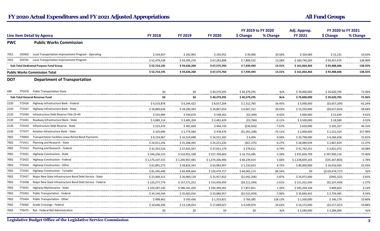|            |        |                                                           |                  |                  | FY 2019 to FY 2020 |                               | Adj. Approp.       | FY 2020 to FY 2021 |                   |              |
|------------|--------|-----------------------------------------------------------|------------------|------------------|--------------------|-------------------------------|--------------------|--------------------|-------------------|--------------|
|            |        | <b>Line Item Detail by Agency</b>                         | <b>FY 2018</b>   | <b>FY 2019</b>   | <b>FY 2020</b>     | \$ Change                     | % Change           | <b>FY 2021</b>     | \$ Change         | % Change     |
| <b>PWC</b> |        | <b>Public Works Commission</b>                            |                  |                  |                    |                               |                    |                    |                   |              |
| 7052       | 150402 | Local Transportation Improvement Program - Operating      | \$234,957        | \$242,992        | \$292,952          | \$49,960                      | 20.56%             | \$324,083          | \$31,131          | 10.63%<br>.  |
| 7052       | 150701 | Local Transportation Improvement Program                  | \$52,479,238     | \$59,393,276<br> | \$67,282,808       | \$7,889,532<br>.              | 13.28%<br>         | \$160,740,283      | \$93,457,475<br>. | 138.90%<br>. |
|            |        | Sub-Total Dedicated Purpose Fund Group                    | \$52,714,195     | \$59,636,268     | \$67,575,760       | \$7,939,493                   | 13.31%             | \$161,064,366      | \$93,488,606      | 138.35%      |
|            |        | <b>Public Works Commission Total</b>                      | \$52,714,195     | \$59,636,268     | \$67,575,760       | \$7,939,493                   | 13.31%             | \$161,064,366      | \$93,488,606      | 138.35%      |
| <b>DOT</b> |        | <b>Department of Transportation</b>                       |                  |                  |                    |                               |                    |                    |                   |              |
| GRF        |        | 775470 Public Transportation-State                        | \$0              | \$0              | \$40,379,295       | \$40,379,295                  | N/A                | \$70,000,000       | \$29,620,705      | 73.36%<br>.  |
|            |        | <b>Sub-Total General Revenue Fund</b>                     | \$0              | \$0              | \$40,379,295       | \$40,379,295                  | N/A                | \$70,000,000       | \$29,620,705      | 73.36%       |
| 2120       | 772426 | Highway Infrastructure Bank - Federal                     | \$4,519,878      | \$6,344,422      | \$8,657,204        | \$2,312,783                   | 36.45%             | \$5,000,000        | ( \$3,657,204)    | $-42.24%$    |
| 2120       | 772427 | Highway Infrastructure Bank - State                       | \$18,869,636     | \$18,200,343     | \$24,867,654       | \$6,667,312                   | 36.63%<br>-------  | \$15,250,000       | (\$9,617,654)     | -38.68%<br>. |
| 2120       | 772430 | Infrastructure Debt Reserve Title 23-49                   | \$525,000        | \$550,670        | \$548,361          | ( \$2,309)                    | $-0.42%$<br>       | \$600,000          | \$51,639          | 9.42%<br>    |
| 2130       | 772431 | Roadway Infrastructure Bank - State                       | \$ 3,089,114     | \$3,485,204      | \$ 3,481,420       | (53, 784)                     | $-0.11%$           | \$3,500,000        | \$18,580          | 0.53%<br>    |
| 2130       | 772433 | Infrastructure Debt Reserve - State                       | \$525,474        | \$481,669        | \$444,743          | ( \$36, 926)                  | $-7.67%$           | \$650,000          | \$205,257         | 46.15%<br>.  |
| 2130<br>   | 777477 | Aviation Infrastructure Bank - State                      | \$105,699<br>    | \$1,779,584<br>  | \$478,476<br>      | (51,301,108)<br>------------- | $-73.11%$<br>      | \$2,000,000<br>.   | \$1,521,524<br>.  | 317.99%<br>  |
| 7002<br>.  | 770003 | Transportation Facilities Lease Rental Bond Payments      | \$8,154,967      | \$16,524,848     | \$16,531,342       | \$6,494                       | 0.04%<br>.         | \$20,798,000       | \$4,266,658       | 25.81%<br>   |
| 7002       |        | 771411 Planning and Research - State                      | \$24,011,256     | \$25,288,495     | \$25,221,220       | (567, 275)                    | $-0.27%$           | \$28,089,039       | \$2,867,819       | 11.37%<br>.  |
| 7002       |        | 771412 Planning and Research - Federal                    | \$32,353,524     | \$37,642,567     | \$37,921,179       | \$278.611                     | 0.74%              | \$41,742,251       | \$3,821,072       | 10.08%<br>   |
| 7002       | 772421 | <b>Highway Construction - State</b>                       | \$544,236,153    | \$510,951,198    | \$527,704,683      | \$16,753,485                  | 3.28%              | \$925,604,799      | \$397,900,116     | 75.40%<br>   |
| 7002       | 772422 | <b>Highway Construction - Federal</b>                     | \$ 1,175,107,315 | \$1,205,967,481  | \$1,274,206,906    | \$ 68,239,424                 | 5.66%              | \$1,238,839,103    | (\$35,367,803)    | $-2.78%$     |
| 7002       |        | 772424 Highway Construction - Other                       | \$62,891,273     | \$58,833,343     | \$63,983,997       | \$5,150,653                   | 8.75%              | \$80,000,000       | \$16,016,003      | 25.03%<br>.  |
| 7002       | 772425 | <b>Highway Construction - Turnpike</b>                    | \$81,245,440<br> | \$69,409,604     | \$129,474,717<br>. | \$60,065,113<br>              | 86.54%<br>         | \$0<br>            | (5129, 474, 717)  | N/A<br>      |
| 7002       | 772437 | Major New State Infrastructure Bond Debt Service - State  | \$23,409,313     | \$26,960,129<br> | \$25,917,922<br>   | ( \$1,042,206)<br>            | $-3.87%$<br>       | \$24,972,600<br>   | (5945, 322)<br>.  | $-3.65%$<br> |
| 7002       | 772438 | Major New State Infrastructure Bond Debt Service - Federa | \$125,277,779    | \$157,571,253    | \$153,459,959      | (54, 111, 294)                | $-2.61%$           | \$151,352,500      | ( \$2,107,459)    | $-1.37%$     |
| 7002       |        | 773431 Highway Maintenance - State                        | \$524,287,140    | \$586,541,430    | \$594,399,281<br>. | \$7,857,851                   | 1.34%<br>--------- | \$595,209,104      | \$809.823<br>.    | 0.14%<br>    |
| 7002       | 775452 | Public Transportation - Federa                            | \$34,144,344     | \$35,602,016     | \$33,086,957       | ( \$2,515,059)                | $-7.06%$<br>       | \$35,846,442       | \$2,759,485       | 8.34%        |
| 7002       |        | <b>Public Transportation - Other</b>                      | \$998,462        | \$593,436        | \$1,353,821        | \$760,385                     | 128.13%            | \$1,500,000        | \$146,179         | 10.80%       |
| 7002       | 776462 | Grade Crossings - Federal                                 | \$10,646,394     | \$13,139,053     | \$17,689,027       | \$4,549,974                   | 34.63%             | \$14,172,000       | (\$3,517,027)     | $-19.88%$    |
| 7002       |        | 776475 Rail - Federal Rail Administration                 | \$0\$<br>------  | \$0              | \$0                | \$0                           | N/A                | \$3,284,000        | \$3,284,000       | N/A          |